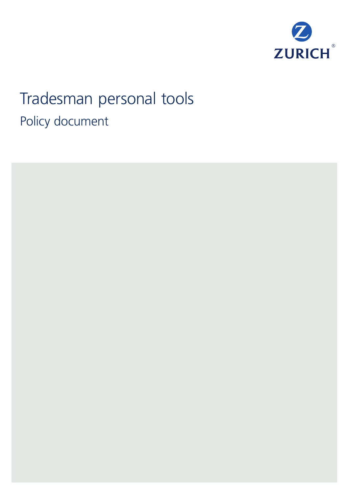

# Tradesman personal tools Policy document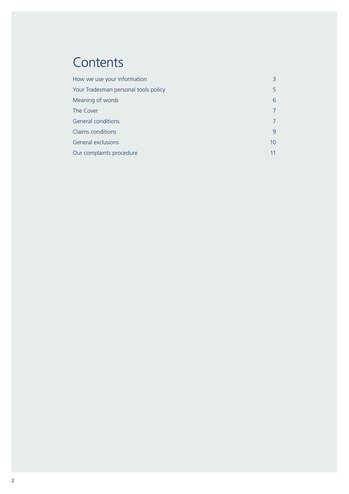### **Contents**

| How we use your information          | 3               |
|--------------------------------------|-----------------|
| Your Tradesman personal tools policy | 5.              |
| Meaning of words                     | 6               |
| The Cover                            | 7               |
| <b>General conditions</b>            | $\overline{7}$  |
| Claims conditions                    | 9               |
| <b>General exclusions</b>            | 10 <sup>°</sup> |
| Our complaints procedure             | 11              |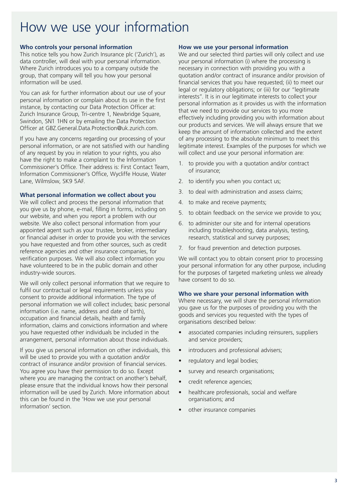### How we use your information

#### **Who controls your personal information**

This notice tells you how Zurich Insurance plc ('Zurich'), as data controller, will deal with your personal information. Where Zurich introduces you to a company outside the group, that company will tell you how your personal information will be used.

You can ask for further information about our use of your personal information or complain about its use in the first instance, by contacting our Data Protection Officer at: Zurich Insurance Group, Tri-centre 1, Newbridge Square, Swindon, SN1 1HN or by emailing the Data Protection Officer at GBZ.General.Data.Protection@uk.zurich.com.

If you have any concerns regarding our processing of your personal information, or are not satisfied with our handling of any request by you in relation to your rights, you also have the right to make a complaint to the Information Commissioner's Office. Their address is: First Contact Team, Information Commissioner's Office, Wycliffe House, Water Lane, Wilmslow, SK9 5AF.

#### **What personal information we collect about you**

We will collect and process the personal information that you give us by phone, e-mail, filling in forms, including on our website, and when you report a problem with our website. We also collect personal information from your appointed agent such as your trustee, broker, intermediary or financial adviser in order to provide you with the services you have requested and from other sources, such as credit reference agencies and other insurance companies, for verification purposes. We will also collect information you have volunteered to be in the public domain and other industry-wide sources.

We will only collect personal information that we require to fulfil our contractual or legal requirements unless you consent to provide additional information. The type of personal information we will collect includes; basic personal information (i.e. name, address and date of birth), occupation and financial details, health and family information, claims and convictions information and where you have requested other individuals be included in the arrangement, personal information about those individuals.

If you give us personal information on other individuals, this will be used to provide you with a quotation and/or contract of insurance and/or provision of financial services. You agree you have their permission to do so. Except where you are managing the contract on another's behalf, please ensure that the individual knows how their personal information will be used by Zurich. More information about this can be found in the 'How we use your personal information' section.

#### **How we use your personal information**

We and our selected third parties will only collect and use your personal information (i) where the processing is necessary in connection with providing you with a quotation and/or contract of insurance and/or provision of financial services that you have requested; (ii) to meet our legal or regulatory obligations; or (iii) for our "legitimate interests". It is in our legitimate interests to collect your personal information as it provides us with the information that we need to provide our services to you more effectively including providing you with information about our products and services. We will always ensure that we keep the amount of information collected and the extent of any processing to the absolute minimum to meet this legitimate interest. Examples of the purposes for which we will collect and use your personal information are:

- 1. to provide you with a quotation and/or contract of insurance;
- 2. to identify you when you contact us;
- 3. to deal with administration and assess claims;
- 4. to make and receive payments;
- 5. to obtain feedback on the service we provide to you;
- 6. to administer our site and for internal operations including troubleshooting, data analysis, testing, research, statistical and survey purposes;
- 7. for fraud prevention and detection purposes.

We will contact you to obtain consent prior to processing your personal information for any other purpose, including for the purposes of targeted marketing unless we already have consent to do so.

#### **Who we share your personal information with**

Where necessary, we will share the personal information you gave us for the purposes of providing you with the goods and services you requested with the types of organisations described below:

- associated companies including reinsurers, suppliers and service providers;
- introducers and professional advisers;
- regulatory and legal bodies;
- survey and research organisations;
- credit reference agencies;
- healthcare professionals, social and welfare organisations; and
- other insurance companies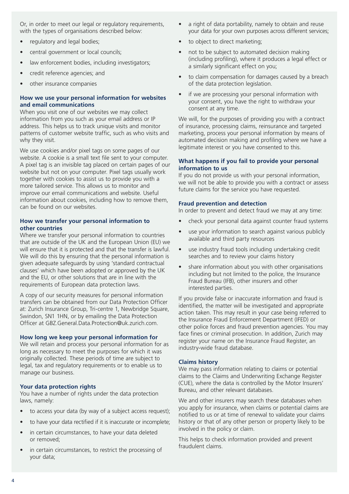Or, in order to meet our legal or regulatory requirements, with the types of organisations described below:

- regulatory and legal bodies;
- central government or local councils;
- law enforcement bodies, including investigators;
- credit reference agencies; and
- other insurance companies

#### **How we use your personal information for websites and email communications**

When you visit one of our websites we may collect information from you such as your email address or IP address. This helps us to track unique visits and monitor patterns of customer website traffic, such as who visits and why they visit.

We use cookies and/or pixel tags on some pages of our website. A cookie is a small text file sent to your computer. A pixel tag is an invisible tag placed on certain pages of our website but not on your computer. Pixel tags usually work together with cookies to assist us to provide you with a more tailored service. This allows us to monitor and improve our email communications and website. Useful information about cookies, including how to remove them, can be found on our websites.

#### **How we transfer your personal information to other countries**

Where we transfer your personal information to countries that are outside of the UK and the European Union (EU) we will ensure that it is protected and that the transfer is lawful. We will do this by ensuring that the personal information is given adequate safeguards by using 'standard contractual clauses' which have been adopted or approved by the UK and the EU, or other solutions that are in line with the requirements of European data protection laws.

A copy of our security measures for personal information transfers can be obtained from our Data Protection Officer at: Zurich Insurance Group, Tri-centre 1, Newbridge Square, Swindon, SN1 1HN, or by emailing the Data Protection Officer at GBZ.General.Data.Protection@uk.zurich.com.

#### **How long we keep your personal information for**

We will retain and process your personal information for as long as necessary to meet the purposes for which it was originally collected. These periods of time are subject to legal, tax and regulatory requirements or to enable us to manage our business.

#### **Your data protection rights**

You have a number of rights under the data protection laws, namely:

- to access your data (by way of a subject access request);
- to have your data rectified if it is inaccurate or incomplete;
- in certain circumstances, to have your data deleted or removed;
- in certain circumstances, to restrict the processing of your data;
- a right of data portability, namely to obtain and reuse your data for your own purposes across different services;
- to object to direct marketing;
- not to be subject to automated decision making (including profiling), where it produces a legal effect or a similarly significant effect on you;
- to claim compensation for damages caused by a breach of the data protection legislation.
- if we are processing your personal information with your consent, you have the right to withdraw your consent at any time.

We will, for the purposes of providing you with a contract of insurance, processing claims, reinsurance and targeted marketing, process your personal information by means of automated decision making and profiling where we have a legitimate interest or you have consented to this.

#### **What happens if you fail to provide your personal information to us**

If you do not provide us with your personal information, we will not be able to provide you with a contract or assess future claims for the service you have requested.

#### **Fraud prevention and detection**

In order to prevent and detect fraud we may at any time:

- check your personal data against counter fraud systems
- use your information to search against various publicly available and third party resources
- use industry fraud tools including undertaking credit searches and to review your claims history
- share information about you with other organisations including but not limited to the police, the Insurance Fraud Bureau (IFB), other insurers and other interested parties.

If you provide false or inaccurate information and fraud is identified, the matter will be investigated and appropriate action taken. This may result in your case being referred to the Insurance Fraud Enforcement Department (IFED) or other police forces and fraud prevention agencies. You may face fines or criminal prosecution. In addition, Zurich may register your name on the Insurance Fraud Register, an industry-wide fraud database.

#### **Claims history**

We may pass information relating to claims or potential claims to the Claims and Underwriting Exchange Register (CUE), where the data is controlled by the Motor Insurers' Bureau, and other relevant databases.

We and other insurers may search these databases when you apply for insurance, when claims or potential claims are notified to us or at time of renewal to validate your claims history or that of any other person or property likely to be involved in the policy or claim.

This helps to check information provided and prevent fraudulent claims.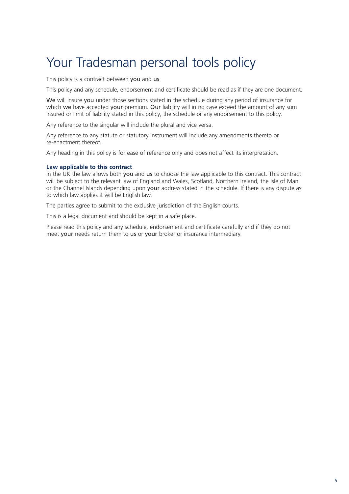### Your Tradesman personal tools policy

This policy is a contract between you and us.

This policy and any schedule, endorsement and certificate should be read as if they are one document.

We will insure you under those sections stated in the schedule during any period of insurance for which we have accepted your premium. Our liability will in no case exceed the amount of any sum insured or limit of liability stated in this policy, the schedule or any endorsement to this policy.

Any reference to the singular will include the plural and vice versa.

Any reference to any statute or statutory instrument will include any amendments thereto or re-enactment thereof.

Any heading in this policy is for ease of reference only and does not affect its interpretation.

#### **Law applicable to this contract**

In the UK the law allows both you and us to choose the law applicable to this contract. This contract will be subject to the relevant law of England and Wales, Scotland, Northern Ireland, the Isle of Man or the Channel Islands depending upon your address stated in the schedule. If there is any dispute as to which law applies it will be English law.

The parties agree to submit to the exclusive jurisdiction of the English courts.

This is a legal document and should be kept in a safe place.

Please read this policy and any schedule, endorsement and certificate carefully and if they do not meet your needs return them to us or your broker or insurance intermediary.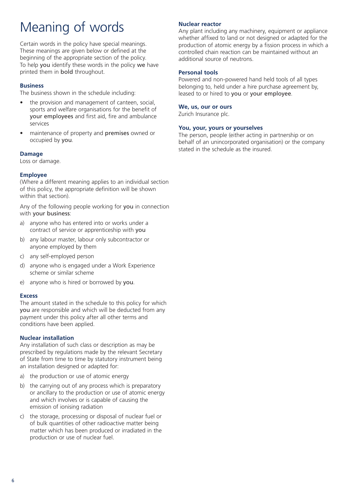## Meaning of words

Certain words in the policy have special meanings. These meanings are given below or defined at the beginning of the appropriate section of the policy. To help you identify these words in the policy we have printed them in bold throughout.

#### **Business**

The business shown in the schedule including:

- the provision and management of canteen, social, sports and welfare organisations for the benefit of your employees and first aid, fire and ambulance services
- maintenance of property and premises owned or occupied by you.

#### **Damage**

Loss or damage.

#### **Employee**

(Where a different meaning applies to an individual section of this policy, the appropriate definition will be shown within that section).

Any of the following people working for you in connection with your business:

- a) anyone who has entered into or works under a contract of service or apprenticeship with you
- b) any labour master, labour only subcontractor or anyone employed by them
- c) any self-employed person
- d) anyone who is engaged under a Work Experience scheme or similar scheme
- e) anyone who is hired or borrowed by you.

#### **Excess**

The amount stated in the schedule to this policy for which you are responsible and which will be deducted from any payment under this policy after all other terms and conditions have been applied.

#### **Nuclear installation**

Any installation of such class or description as may be prescribed by regulations made by the relevant Secretary of State from time to time by statutory instrument being an installation designed or adapted for:

- a) the production or use of atomic energy
- b) the carrying out of any process which is preparatory or ancillary to the production or use of atomic energy and which involves or is capable of causing the emission of ionising radiation
- c) the storage, processing or disposal of nuclear fuel or of bulk quantities of other radioactive matter being matter which has been produced or irradiated in the production or use of nuclear fuel.

#### **Nuclear reactor**

Any plant including any machinery, equipment or appliance whether affixed to land or not designed or adapted for the production of atomic energy by a fission process in which a controlled chain reaction can be maintained without an additional source of neutrons.

#### **Personal tools**

Powered and non-powered hand held tools of all types belonging to, held under a hire purchase agreement by, leased to or hired to you or your employee.

#### **We, us, our or ours**

Zurich Insurance plc.

#### **You, your, yours or yourselves**

The person, people (either acting in partnership or on behalf of an unincorporated organisation) or the company stated in the schedule as the insured.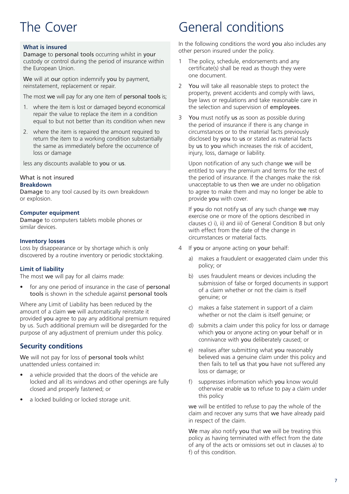### The Cover

#### **What is insured**

Damage to personal tools occurring whilst in your custody or control during the period of insurance within the European Union.

We will at our option indemnify you by payment, reinstatement, replacement or repair.

The most we will pay for any one item of personal tools is;

- 1. where the item is lost or damaged beyond economical repair the value to replace the item in a condition equal to but not better than its condition when new
- 2. where the item is repaired the amount required to return the item to a working condition substantially the same as immediately before the occurrence of loss or damage

less any discounts available to you or us.

### What is not insured

**Breakdown**

Damage to any tool caused by its own breakdown or explosion.

#### **Computer equipment**

Damage to computers tablets mobile phones or similar devices.

#### **Inventory losses**

Loss by disappearance or by shortage which is only discovered by a routine inventory or periodic stocktaking.

#### **Limit of liability**

The most we will pay for all claims made:

• for any one period of insurance in the case of **personal** tools is shown in the schedule against personal tools

Where any Limit of Liability has been reduced by the amount of a claim we will automatically reinstate it provided you agree to pay any additional premium required by us. Such additional premium will be disregarded for the purpose of any adjustment of premium under this policy.

#### **Security conditions**

We will not pay for loss of personal tools whilst unattended unless contained in:

- a vehicle provided that the doors of the vehicle are locked and all its windows and other openings are fully closed and properly fastened; or
- a locked building or locked storage unit.

### General conditions

In the following conditions the word you also includes any other person insured under the policy.

- 1 The policy, schedule, endorsements and any certificate(s) shall be read as though they were one document.
- 2 You will take all reasonable steps to protect the property, prevent accidents and comply with laws, bye laws or regulations and take reasonable care in the selection and supervision of employees.
- 3 You must notify us as soon as possible during the period of insurance if there is any change in circumstances or to the material facts previously disclosed by you to us or stated as material facts by us to you which increases the risk of accident, injury, loss, damage or liability.

Upon notification of any such change we will be entitled to vary the premium and terms for the rest of the period of insurance. If the changes make the risk unacceptable to us then we are under no obligation to agree to make them and may no longer be able to provide you with cover.

If you do not notify us of any such change we may exercise one or more of the options described in clauses c) i), ii) and iii) of General Condition 8 but only with effect from the date of the change in circumstances or material facts.

- 4 If you or anyone acting on your behalf:
	- a) makes a fraudulent or exaggerated claim under this policy; or
	- b) uses fraudulent means or devices including the submission of false or forged documents in support of a claim whether or not the claim is itself genuine; or
	- c) makes a false statement in support of a claim whether or not the claim is itself genuine; or
	- d) submits a claim under this policy for loss or damage which you or anyone acting on your behalf or in connivance with you deliberately caused; or
	- e) realises after submitting what you reasonably believed was a genuine claim under this policy and then fails to tell us that you have not suffered any loss or damage; or
	- f) suppresses information which you know would otherwise enable us to refuse to pay a claim under this policy

we will be entitled to refuse to pay the whole of the claim and recover any sums that we have already paid in respect of the claim.

We may also notify you that we will be treating this policy as having terminated with effect from the date of any of the acts or omissions set out in clauses a) to f) of this condition.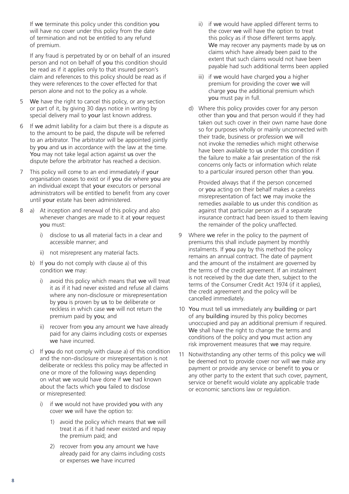If we terminate this policy under this condition you will have no cover under this policy from the date of termination and not be entitled to any refund of premium.

If any fraud is perpetrated by or on behalf of an insured person and not on behalf of you this condition should be read as if it applies only to that insured person's claim and references to this policy should be read as if they were references to the cover effected for that person alone and not to the policy as a whole.

- 5 We have the right to cancel this policy, or any section or part of it, by giving 30 days notice in writing by special delivery mail to your last known address.
- 6 If we admit liability for a claim but there is a dispute as to the amount to be paid, the dispute will be referred to an arbitrator. The arbitrator will be appointed jointly by you and us in accordance with the law at the time. You may not take legal action against us over the dispute before the arbitrator has reached a decision.
- 7 This policy will come to an end immediately if your organisation ceases to exist or if you die where you are an individual except that your executors or personal administrators will be entitled to benefit from any cover until your estate has been administered.
- 8 a) At inception and renewal of this policy and also whenever changes are made to it at your request you must:
	- i) disclose to us all material facts in a clear and accessible manner; and
	- ii) not misrepresent any material facts.
	- b) If you do not comply with clause a) of this condition we may:
		- i) avoid this policy which means that we will treat it as if it had never existed and refuse all claims where any non-disclosure or misrepresentation by you is proven by us to be deliberate or reckless in which case we will not return the premium paid by you; and
		- ii) recover from you any amount we have already paid for any claims including costs or expenses we have incurred.
	- c) If you do not comply with clause a) of this condition and the non-disclosure or misrepresentation is not deliberate or reckless this policy may be affected in one or more of the following ways depending on what we would have done if we had known about the facts which you failed to disclose or misrepresented:
		- i) if we would not have provided you with any cover we will have the option to:
			- 1) avoid the policy which means that we will treat it as if it had never existed and repay the premium paid; and
			- 2) recover from you any amount we have already paid for any claims including costs or expenses we have incurred
- ii) if we would have applied different terms to the cover we will have the option to treat this policy as if those different terms apply. We may recover any payments made by us on claims which have already been paid to the extent that such claims would not have been payable had such additional terms been applied
- iii) if we would have charged you a higher premium for providing the cover we will charge you the additional premium which you must pay in full.
- d) Where this policy provides cover for any person other than you and that person would if they had taken out such cover in their own name have done so for purposes wholly or mainly unconnected with their trade, business or profession we will not invoke the remedies which might otherwise have been available to us under this condition if the failure to make a fair presentation of the risk concerns only facts or information which relate to a particular insured person other than you.

Provided always that if the person concerned or you acting on their behalf makes a careless misrepresentation of fact we may invoke the remedies available to us under this condition as against that particular person as if a separate insurance contract had been issued to them leaving the remainder of the policy unaffected.

- 9 Where we refer in the policy to the payment of premiums this shall include payment by monthly instalments. If you pay by this method the policy remains an annual contract. The date of payment and the amount of the instalment are governed by the terms of the credit agreement. If an instalment is not received by the due date then, subject to the terms of the Consumer Credit Act 1974 (if it applies), the credit agreement and the policy will be cancelled immediately.
- 10 You must tell us immediately any building or part of any building insured by this policy becomes unoccupied and pay an additional premium if required. We shall have the right to change the terms and conditions of the policy and you must action any risk improvement measures that we may require.
- 11 Notwithstanding any other terms of this policy we will be deemed not to provide cover nor will we make any payment or provide any service or benefit to you or any other party to the extent that such cover, payment, service or benefit would violate any applicable trade or economic sanctions law or regulation.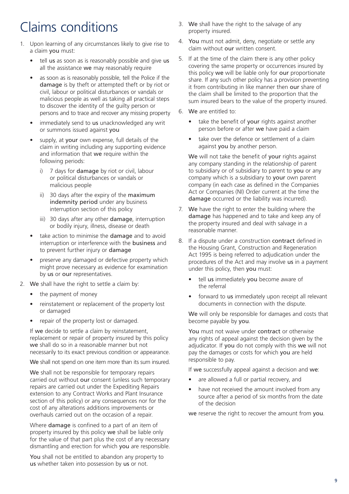### Claims conditions

- 1. Upon learning of any circumstances likely to give rise to a claim you must:
	- tell us as soon as is reasonably possible and give us all the assistance we may reasonably require
	- as soon as is reasonably possible, tell the Police if the damage is by theft or attempted theft or by riot or civil, labour or political disturbances or vandals or malicious people as well as taking all practical steps to discover the identity of the guilty person or persons and to trace and recover any missing property
	- immediately send to us unacknowledged any writ or summons issued against you
	- supply, at your own expense, full details of the claim in writing including any supporting evidence and information that we require within the following periods:
		- i) 7 days for **damage** by riot or civil, labour or political disturbances or vandals or malicious people
		- ii) 30 days after the expiry of the maximum indemnity period under any business interruption section of this policy
		- iii) 30 days after any other **damage**, interruption or bodily injury, illness, disease or death
	- take action to minimise the **damage** and to avoid interruption or interference with the business and to prevent further injury or damage
	- preserve any damaged or defective property which might prove necessary as evidence for examination by us or our representatives.
- 2. We shall have the right to settle a claim by:
	- the payment of money
	- reinstatement or replacement of the property lost or damaged
	- repair of the property lost or damaged.

If we decide to settle a claim by reinstatement, replacement or repair of property insured by this policy we shall do so in a reasonable manner but not necessarily to its exact previous condition or appearance.

We shall not spend on one item more than its sum insured.

We shall not be responsible for temporary repairs carried out without our consent (unless such temporary repairs are carried out under the Expediting Repairs extension to any Contract Works and Plant Insurance section of this policy) or any consequences nor for the cost of any alterations additions improvements or overhauls carried out on the occasion of a repair.

Where damage is confined to a part of an item of property insured by this policy we shall be liable only for the value of that part plus the cost of any necessary dismantling and erection for which you are responsible.

You shall not be entitled to abandon any property to us whether taken into possession by us or not.

- 3. We shall have the right to the salvage of any property insured.
- 4. You must not admit, deny, negotiate or settle any claim without our written consent.
- 5. If at the time of the claim there is any other policy covering the same property or occurrences insured by this policy we will be liable only for our proportionate share. If any such other policy has a provision preventing it from contributing in like manner then our share of the claim shall be limited to the proportion that the sum insured bears to the value of the property insured.
- 6. We are entitled to:
	- take the benefit of your rights against another person before or after we have paid a claim
	- take over the defence or settlement of a claim against you by another person.

We will not take the benefit of your rights against any company standing in the relationship of parent to subsidiary or of subsidiary to parent to you or any company which is a subsidiary to your own parent company (in each case as defined in the Companies Act or Companies (NI) Order current at the time the damage occurred or the liability was incurred).

- 7. We have the right to enter the building where the damage has happened and to take and keep any of the property insured and deal with salvage in a reasonable manner.
- 8. If a dispute under a construction contract defined in the Housing Grant, Construction and Regeneration Act 1995 is being referred to adjudication under the procedures of the Act and may involve us in a payment under this policy, then you must:
	- tell us immediately you become aware of the referral
	- forward to us immediately upon receipt all relevant documents in connection with the dispute.

We will only be responsible for damages and costs that become payable by you.

You must not waive under contract or otherwise any rights of appeal against the decision given by the adjudicator. If you do not comply with this we will not pay the damages or costs for which you are held responsible to pay.

If we successfully appeal against a decision and we:

- are allowed a full or partial recovery, and
- have not received the amount involved from any source after a period of six months from the date of the decision

we reserve the right to recover the amount from you.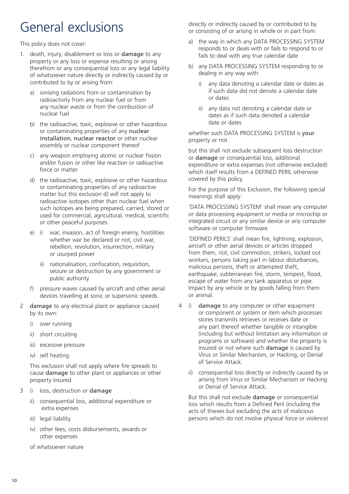### General exclusions

This policy does not cover:

- 1. death, injury, disablement or loss or damage to any property or any loss or expense resulting or arising therefrom or any consequential loss or any legal liability of whatsoever nature directly or indirectly caused by or contributed to by or arising from:
	- a) ionising radiations from or contamination by radioactivity from any nuclear fuel or from any nuclear waste or from the combustion of nuclear fuel
	- b) the radioactive, toxic, explosive or other hazardous or contaminating properties of any nuclear installation, nuclear reactor or other nuclear assembly or nuclear component thereof
	- c) any weapon employing atomic or nuclear fission and/or fusion or other like reaction or radioactive force or matter
	- d) the radioactive, toxic, explosive or other hazardous or contaminating properties of any radioactive matter but this exclusion d) will not apply to radioactive isotopes other than nuclear fuel when such isotopes are being prepared, carried, stored or used for commercial, agricultural, medical, scientific or other peaceful purposes
	- e) i) war, invasion, act of foreign enemy, hostilities whether war be declared or not, civil war, rebellion, revolution, insurrection, military or usurped power
		- ii) nationalisation, confiscation, requisition, seizure or destruction by any government or public authority
	- f) pressure waves caused by aircraft and other aerial devices travelling at sonic or supersonic speeds.
- 2 damage to any electrical plant or appliance caused by its own:
	- i) over running
	- ii) short circuiting
	- iii) excessive pressure
	- iv) self heating.

This exclusion shall not apply where fire spreads to cause damage to other plant or appliances or other property insured.

- 3 i) loss, destruction or damage
	- ii) consequential loss, additional expenditure or extra expenses
	- iii) legal liability
	- iv) other fees, costs disbursements, awards or other expenses
	- of whatsoever nature

directly or indirectly caused by or contributed to by or consisting of or arising in whole or in part from:

- a) the way in which any DATA PROCESSING SYSTEM responds to or deals with or fails to respond to or fails to deal with any true calendar date
- b) any DATA PROCESSING SYSTEM responding to or dealing in any way with
	- i) any data denoting a calendar date or dates as if such data did not denote a calendar date or dates
	- ii) any data not denoting a calendar date or dates as if such data denoted a calendar date or dates

whether such DATA PROCESSING SYSTEM is your property or not

but this shall not exclude subsequent loss destruction or damage or consequential loss, additional expenditure or extra expenses (not otherwise excluded) which itself results from a DEFINED PERIL otherwise covered by this policy.

For the purpose of this Exclusion, the following special meanings shall apply:

'DATA PROCESSING SYSTEM' shall mean any computer or data processing equipment or media or microchip or integrated circuit or any similar device or any computer software or computer firmware.

'DEFINED PERILS' shall mean fire, lightning, explosion, aircraft or other aerial devices or articles dropped from them, riot, civil commotion, strikers, locked out workers, persons taking part in labour disturbances, malicious persons, theft or attempted theft, earthquake, subterranean fire, storm, tempest, flood, escape of water from any tank apparatus or pipe. Impact by any vehicle or by goods falling from them or animal.

- 4 i) damage to any computer or other equipment or component or system or item which processes stores transmits retrieves or receives date or any part thereof whether tangible or intangible (including but without limitation any information or programs or software) and whether the property is insured or not where such damage is caused by Virus or Similar Mechanism, or Hacking, or Denial of Service Attack.
	- ii) consequential loss directly or indirectly caused by or arising from Virus or Similar Mechanism or Hacking or Denial of Service Attack.

But this shall not exclude damage or consequential loss which results from a Defined Peril (including the acts of thieves but excluding the acts of malicious persons which do not involve physical force or violence)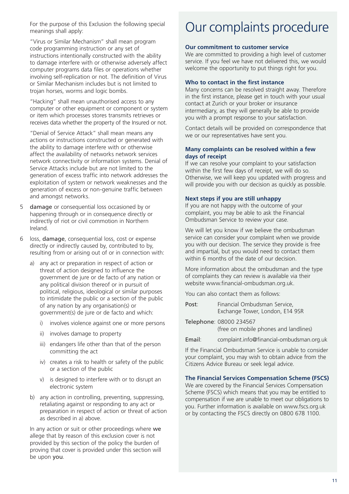For the purpose of this Exclusion the following special meanings shall apply:

"Virus or Similar Mechanism" shall mean program code programming instruction or any set of instructions intentionally constructed with the ability to damage interfere with or otherwise adversely affect computer programs data files or operations whether involving self-replication or not. The definition of Virus or Similar Mechanism includes but is not limited to trojan horses, worms and logic bombs.

"Hacking" shall mean unauthorised access to any computer or other equipment or component or system or item which processes stores transmits retrieves or receives data whether the property of the Insured or not.

"Denial of Service Attack" shall mean means any actions or instructions constructed or generated with the ability to damage interfere with or otherwise affect the availability of networks network services network connectivity or information systems. Denial of Service Attacks include but are not limited to the generation of excess traffic into network addresses the exploitation of system or network weaknesses and the generation of excess or non-genuine traffic between and amongst networks.

- 5 damage or consequential loss occasioned by or happening through or in consequence directly or indirectly of riot or civil commotion in Northern Ireland.
- 6 loss, damage, consequential loss, cost or expense directly or indirectly caused by, contributed to by, resulting from or arising out of or in connection with:
	- a) any act or preparation in respect of action or threat of action designed to influence the government de jure or de facto of any nation or any political division thereof or in pursuit of political, religious, ideological or similar purposes to intimidate the public or a section of the public of any nation by any organisation(s) or government(s) de jure or de facto and which:
		- i) involves violence against one or more persons
		- ii) involves damage to property
		- iii) endangers life other than that of the person committing the act
		- iv) creates a risk to health or safety of the public or a section of the public
		- v) is designed to interfere with or to disrupt an electronic system
	- b) any action in controlling, preventing, suppressing, retaliating against or responding to any act or preparation in respect of action or threat of action as described in a) above.

In any action or suit or other proceedings where we allege that by reason of this exclusion cover is not provided by this section of the policy the burden of proving that cover is provided under this section will be upon you.

### Our complaints procedure

#### **Our commitment to customer service**

We are committed to providing a high level of customer service. If you feel we have not delivered this, we would welcome the opportunity to put things right for you.

#### **Who to contact in the first instance**

Many concerns can be resolved straight away. Therefore in the first instance, please get in touch with your usual contact at Zurich or your broker or insurance intermediary, as they will generally be able to provide you with a prompt response to your satisfaction.

Contact details will be provided on correspondence that we or our representatives have sent you.

#### **Many complaints can be resolved within a few days of receipt**

If we can resolve your complaint to your satisfaction within the first few days of receipt, we will do so. Otherwise, we will keep you updated with progress and will provide you with our decision as quickly as possible.

#### **Next steps if you are still unhappy**

If you are not happy with the outcome of your complaint, you may be able to ask the Financial Ombudsman Service to review your case.

We will let you know if we believe the ombudsman service can consider your complaint when we provide you with our decision. The service they provide is free and impartial, but you would need to contact them within 6 months of the date of our decision.

More information about the ombudsman and the type of complaints they can review is available via their website www.financial-ombudsman.org.uk.

You can also contact them as follows:

- Post: Financial Ombudsman Service, Exchange Tower, London, E14 9SR
- Telephone: 08000 234567 (free on mobile phones and landlines)
- Email: complaint.info@financial-ombudsman.org.uk

If the Financial Ombudsman Service is unable to consider your complaint, you may wish to obtain advice from the Citizens Advice Bureau or seek legal advice.

#### **The Financial Services Compensation Scheme (FSCS)**

We are covered by the Financial Services Compensation Scheme (FSCS) which means that you may be entitled to compensation if we are unable to meet our obligations to you. Further information is available on www.fscs.org.uk or by contacting the FSCS directly on 0800 678 1100.